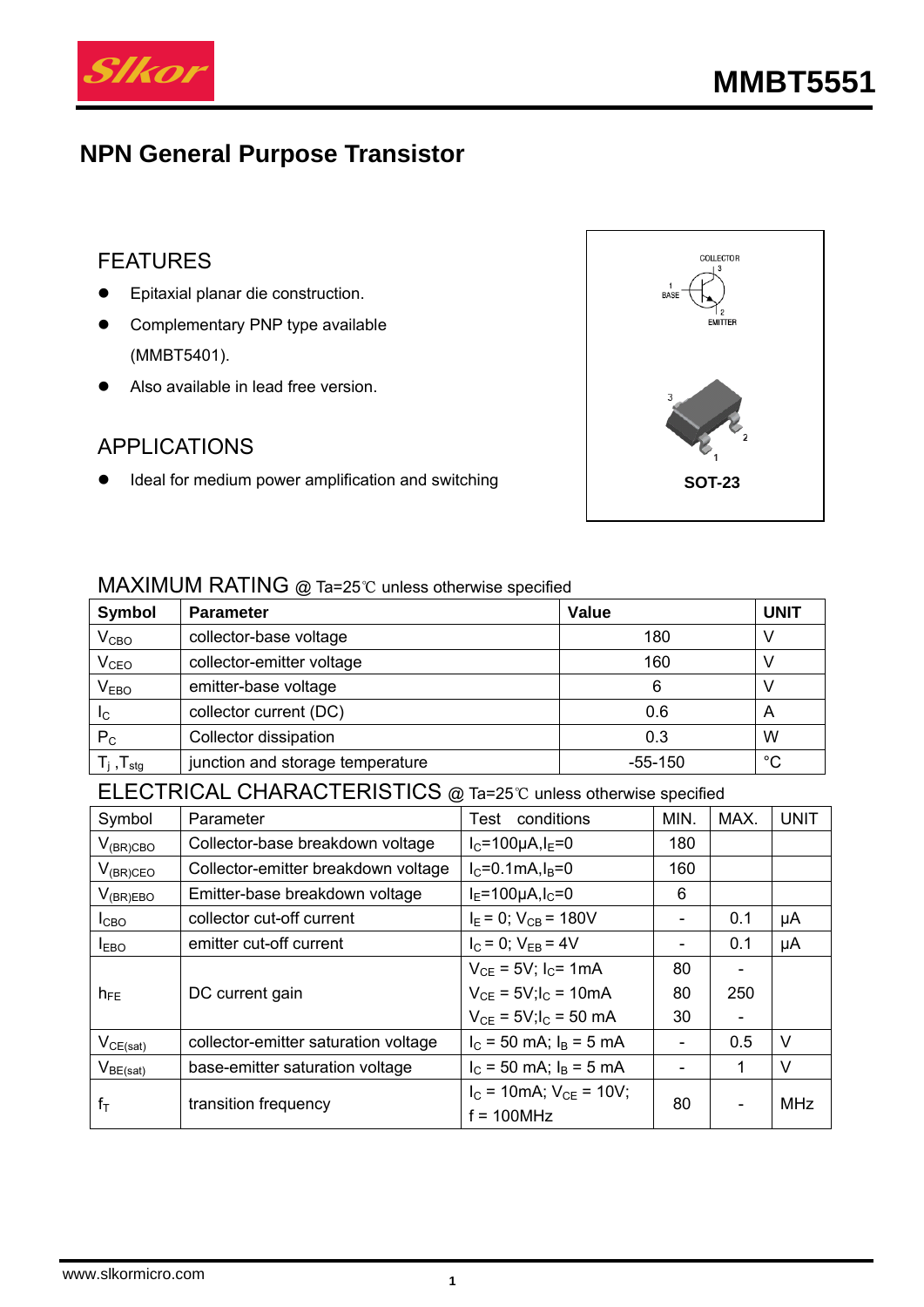

# **NPN General Purpose Transistor**

## FEATURES

- **•** Epitaxial planar die construction.
- **•** Complementary PNP type available (MMBT5401).
- Also available in lead free version.

### APPLICATIONS

**•** Ideal for medium power amplification and switching **SOT-23** 



#### MAXIMUM RATING @ Ta=25℃ unless otherwise specified

| Symbol                   | <b>Parameter</b>                 | <b>Value</b> | <b>UNIT</b> |
|--------------------------|----------------------------------|--------------|-------------|
| $V_{CBO}$                | collector-base voltage           | 180          |             |
| V <sub>CEO</sub>         | collector-emitter voltage        | 160          |             |
| V <sub>EBO</sub>         | emitter-base voltage             | 6            |             |
| $I_{\rm C}$              | collector current (DC)           | 0.6          | A           |
| $P_C$                    | Collector dissipation            | 0.3          | W           |
| $T_i$ , $T_{\text{stg}}$ | junction and storage temperature | $-55-150$    | $^{\circ}C$ |

## ELECTRICAL CHARACTERISTICS @ Ta=25℃ unless otherwise specified

| Symbol           | Parameter                            | conditions<br>Test                               | MIN.                         | MAX.                     | <b>UNIT</b> |
|------------------|--------------------------------------|--------------------------------------------------|------------------------------|--------------------------|-------------|
| $V_{(BR)CBO}$    | Collector-base breakdown voltage     | $I_C = 100 \mu A I_E = 0$                        | 180                          |                          |             |
| $V_{(BR)CEO}$    | Collector-emitter breakdown voltage  | $I_{C} = 0.1 \text{mA}$ , $I_{B} = 0$            | 160                          |                          |             |
| $V_{(BR)EBO}$    | Emitter-base breakdown voltage       | $I_{E} = 100 \mu A, I_{C} = 0$                   | 6                            |                          |             |
| I <sub>CBO</sub> | collector cut-off current            | $I_E = 0$ ; $V_{CB} = 180V$                      | -                            | 0.1                      | μA          |
| <b>IEBO</b>      | emitter cut-off current              | $I_C = 0$ ; $V_{EB} = 4V$                        | -                            | 0.1                      | μA          |
|                  |                                      | $V_{CE} = 5V$ ; $I_C = 1mA$                      | 80                           | $\overline{\phantom{0}}$ |             |
| $h_{FE}$         | DC current gain                      | $V_{CE} = 5V$ ; $I_C = 10mA$                     | 80                           | 250                      |             |
|                  |                                      | $V_{CE} = 5V$ ; $I_C = 50$ mA                    | 30                           | $\overline{\phantom{0}}$ |             |
| $V_{CE(sat)}$    | collector-emitter saturation voltage | $I_C$ = 50 mA; $I_B$ = 5 mA                      | $\qquad \qquad \blacksquare$ | 0.5                      | V           |
| $V_{BE(sat)}$    | base-emitter saturation voltage      | $I_C$ = 50 mA; $I_B$ = 5 mA                      |                              | 1                        | $\vee$      |
| $f_T$            | transition frequency                 | $I_C = 10mA$ ; $V_{CE} = 10V$ ;<br>$f = 100 MHz$ | 80                           |                          | MHz         |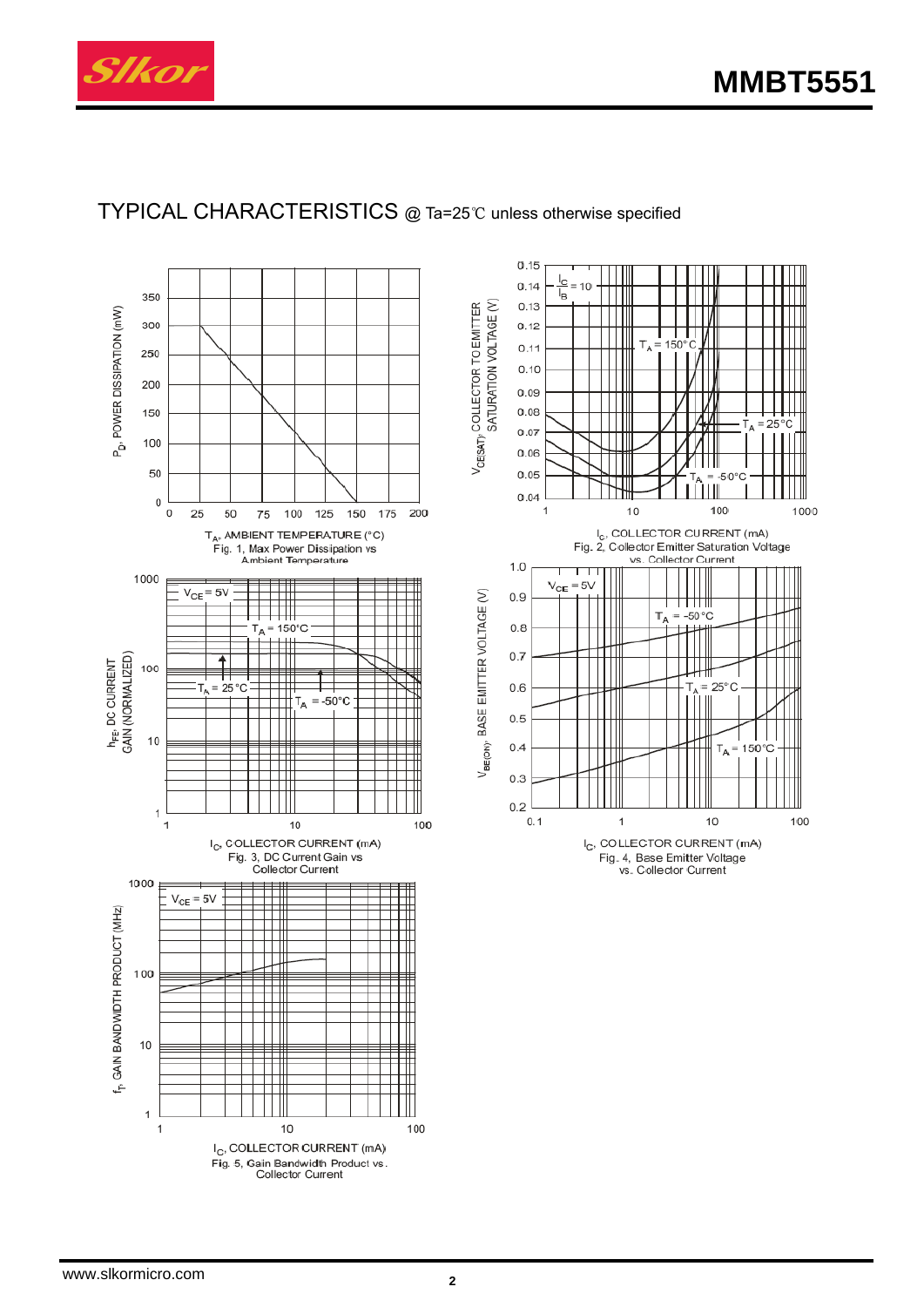